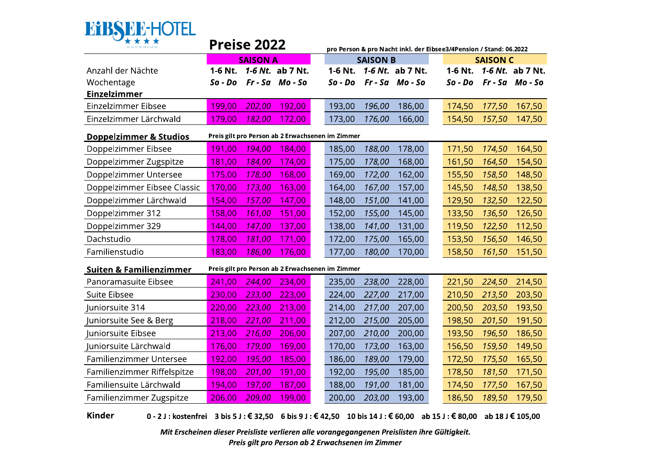

| SUPERIOR                           |           | <b>Preise 2022</b> |                                                  |           |                 | pro Person & pro Nacht inkl. der Eibsee3/4Pension / Stand: 06.2022 |           |                 |                  |
|------------------------------------|-----------|--------------------|--------------------------------------------------|-----------|-----------------|--------------------------------------------------------------------|-----------|-----------------|------------------|
|                                    |           | <b>SAISON A</b>    |                                                  |           | <b>SAISON B</b> |                                                                    |           | <b>SAISON C</b> |                  |
| Anzahl der Nächte                  | 1-6 Nt.   |                    | 1-6 Nt. ab 7 Nt.                                 | 1-6 Nt.   |                 | 1-6 Nt. ab 7 Nt.                                                   | 1-6 Nt.   |                 | 1-6 Nt. ab 7 Nt. |
| Wochentage                         | $So - Do$ |                    | Fr-Sa Mo-So                                      | $So - Do$ |                 | Fr-Sa Mo-So                                                        | $So - Do$ |                 | $Fr-Sa$ Mo-So    |
| Einzelzimmer                       |           |                    |                                                  |           |                 |                                                                    |           |                 |                  |
| Einzelzimmer Eibsee                | 199,00    | 202,00             | 192,00                                           | 193,00    | 196,00          | 186,00                                                             | 174,50    | 177,50          | 167,50           |
| Einzelzimmer Lärchwald             | 179,00    | 182,00             | 172,00                                           | 173,00    | 176,00          | 166,00                                                             | 154,50    | 157,50          | 147,50           |
| <b>Doppelzimmer &amp; Studios</b>  |           |                    | Preis gilt pro Person ab 2 Erwachsenen im Zimmer |           |                 |                                                                    |           |                 |                  |
| Doppelzimmer Eibsee                | 191,00    | 194,00             | 184,00                                           | 185,00    | 188,00          | 178,00                                                             | 171,50    | 174,50          | 164,50           |
| Doppelzimmer Zugspitze             | 181,00    | 184,00             | 174,00                                           | 175,00    | 178,00          | 168,00                                                             | 161,50    | 164,50          | 154,50           |
| Doppelzimmer Untersee              | 175,00    | 178,00             | 168,00                                           | 169,00    | 172,00          | 162,00                                                             | 155,50    | 158,50          | 148,50           |
| Doppelzimmer Eibsee Classic        | 170,00    | 173,00             | 163,00                                           | 164,00    | 167,00          | 157,00                                                             | 145,50    | 148,50          | 138,50           |
| Doppelzimmer Lärchwald             | 154,00    | 157,00             | 147,00                                           | 148,00    | 151,00          | 141,00                                                             | 129,50    | 132,50          | 122,50           |
| Doppelzimmer 312                   | 158,00    | 161,00             | 151,00                                           | 152,00    | 155,00          | 145,00                                                             | 133,50    | 136,50          | 126,50           |
| Doppelzimmer 329                   | 144,00    | 147,00             | 137,00                                           | 138,00    | 141,00          | 131,00                                                             | 119,50    | 122,50          | 112,50           |
| Dachstudio                         | 178,00    | 181,00             | 171,00                                           | 172,00    | 175,00          | 165,00                                                             | 153,50    | 156,50          | 146,50           |
| Familienstudio                     | 183,00    | 186,00             | 176,00                                           | 177,00    | 180,00          | 170,00                                                             | 158,50    | 161,50          | 151,50           |
| <b>Suiten &amp; Familienzimmer</b> |           |                    | Preis gilt pro Person ab 2 Erwachsenen im Zimmer |           |                 |                                                                    |           |                 |                  |
| Panoramasuite Eibsee               | 241,00    | 244,00             | 234,00                                           | 235,00    | 238,00          | 228,00                                                             | 221,50    | 224,50          | 214,50           |
| Suite Eibsee                       | 230,00    | 233,00             | 223,00                                           | 224,00    | 227,00          | 217,00                                                             | 210,50    | 213,50          | 203,50           |
| Juniorsuite 314                    | 220,00    | 223,00             | 213,00                                           | 214,00    | 217,00          | 207,00                                                             | 200,50    | 203,50          | 193,50           |
| Juniorsuite See & Berg             | 218,00    | 221,00             | 211,00                                           | 212,00    | 215,00          | 205,00                                                             | 198,50    | 201,50          | 191,50           |
| Juniorsuite Eibsee                 | 213,00    | 216,00             | 206,00                                           | 207,00    | 210,00          | 200,00                                                             | 193,50    | 196,50          | 186,50           |
| Juniorsuite Lärchwald              | 76,00     | 179,00             | 169,00                                           | 170,00    | 173,00          | 163,00                                                             | 156,50    | 159,50          | 149,50           |
| Familienzimmer Untersee            | 192,00    | 195,00             | 185,00                                           | 186,00    | 189,00          | 179,00                                                             | 172,50    | 175,50          | 165,50           |
| Familienzimmer Riffelspitze        | 198,00    | 201,00             | 191,00                                           | 192,00    | 195,00          | 185,00                                                             | 178,50    | 181,50          | 171,50           |
| Familiensuite Lärchwald            | 194,00    | 197,00             | 187,00                                           | 188,00    | 191,00          | 181,00                                                             | 174,50    | 177,50          | 167,50           |
| Familienzimmer Zugspitze           | 206,00    | 209,00             | 199,00                                           | 200,00    | 203,00          | 193,00                                                             | 186,50    | 189,50          | 179,50           |

Kinder 0 - 2 J : kostenfrei 3 bis 5 J : € 32,50 6 bis 9 J : € 42,50 10 bis 14 J : € 60,00 ab 15 J : € 80,00 ab 18 J € 105,00

> Mit Erscheinen dieser Preisliste verlieren alle vorangegangenen Preislisten ihre Gültigkeit. Preis gilt pro Person ab 2 Erwachsenen im Zimmer